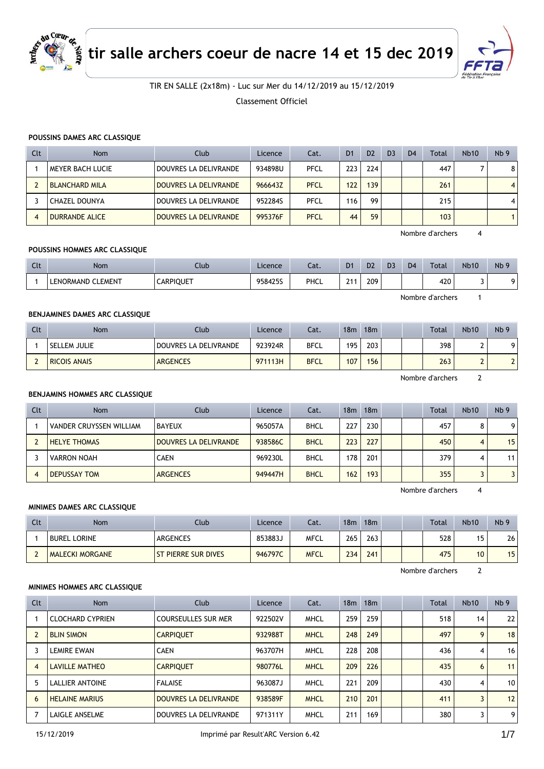

**tir salle archers coeur de nacre 14 et 15 dec 2019**



## TIR EN SALLE (2x18m) - Luc sur Mer du 14/12/2019 au 15/12/2019

Classement Officiel

#### **POUSSINS DAMES ARC CLASSIQUE**

| Clt              | <b>Nom</b>            | Club                  | Licence | Cat.        | D <sub>1</sub> | D <sub>2</sub> | D <sub>3</sub> | D <sub>4</sub> | <b>Total</b> | <b>Nb10</b> | Nb <sub>9</sub> |
|------------------|-----------------------|-----------------------|---------|-------------|----------------|----------------|----------------|----------------|--------------|-------------|-----------------|
|                  | MEYER BACH LUCIE      | DOUVRES LA DELIVRANDE | 934898U | PFCL        | 223            | 224            |                |                | 447          |             | 8               |
|                  | <b>BLANCHARD MILA</b> | DOUVRES LA DELIVRANDE | 966643Z | <b>PFCL</b> | 122            | 139            |                |                | 261          |             | $\overline{4}$  |
|                  | <b>CHAZEL DOUNYA</b>  | DOUVRES LA DELIVRANDE | 952284S | PFCL        | 116            | 99             |                |                | 215          |             | 4               |
| $\boldsymbol{A}$ | <b>DURRANDE ALICE</b> | DOUVRES LA DELIVRANDE | 995376F | <b>PFCL</b> | 44             | 59             |                |                | 103          |             |                 |

Nombre d'archers 4

#### **POUSSINS HOMMES ARC CLASSIQUE**

| $\sim$<br>uu | <b>Nom</b>        | Club             | Licence | Cat. | D <sub>1</sub> | D <sub>2</sub> | D <sub>3</sub> | D <sub>4</sub> | Total | <b>Nb10</b> | N <sub>b</sub> 9 |
|--------------|-------------------|------------------|---------|------|----------------|----------------|----------------|----------------|-------|-------------|------------------|
|              | LENORMAND CLEMENT | <b>CARPIQUET</b> | 958425S | PHCL | 211<br>- 1     | 209            |                |                | 420   |             |                  |

Nombre d'archers 1

### **BENJAMINES DAMES ARC CLASSIQUE**

| Clt | Nom                 | Club                  | Licence | Cat.        | 18m | 18m              |  | <b>Total</b> | <b>Nb10</b> | Nb <sub>9</sub> |
|-----|---------------------|-----------------------|---------|-------------|-----|------------------|--|--------------|-------------|-----------------|
|     | SELLEM JULIE        | DOUVRES LA DELIVRANDE | 923924R | <b>BFCL</b> | 195 | 203 <sub>1</sub> |  | 398          | -           | ۵               |
|     | <b>RICOIS ANAIS</b> | <b>ARGENCES</b>       | 971113H | <b>BFCL</b> | 107 | 156              |  | 263          |             |                 |

Nombre d'archers 2

#### **BENJAMINS HOMMES ARC CLASSIQUE**

| Clt | <b>Nom</b>              | Club                  | Licence | Cat.        | 18 <sub>m</sub> | 18 <sub>m</sub> |  | Total | Nb10 | Nb <sub>9</sub> |
|-----|-------------------------|-----------------------|---------|-------------|-----------------|-----------------|--|-------|------|-----------------|
|     | VANDER CRUYSSEN WILLIAM | BAYEUX                | 965057A | <b>BHCL</b> | 227             | 230             |  | 457   | 8    | 9               |
|     | <b>HELYE THOMAS</b>     | DOUVRES LA DELIVRANDE | 938586C | <b>BHCL</b> | 223             | 227             |  | 450   | 4    | 15              |
|     | <b>VARRON NOAH</b>      | <b>CAEN</b>           | 969230L | <b>BHCL</b> | 178             | 201             |  | 379   |      | 11              |
|     | <b>DEPUSSAY TOM</b>     | <b>ARGENCES</b>       | 949447H | <b>BHCL</b> | 162             | 193             |  | 355   |      |                 |

Nombre d'archers 4

### **MINIMES DAMES ARC CLASSIQUE**

| Clt | Nom                    | Club                       | Licence | Cat.        | 18 <sub>m</sub> | 18 <sub>m</sub> |  | <b>Total</b> | <b>Nb10</b> | Nb <sub>9</sub> |
|-----|------------------------|----------------------------|---------|-------------|-----------------|-----------------|--|--------------|-------------|-----------------|
|     | <b>BUREL LORINE</b>    | ARGENCES                   | 853883J | <b>MFCL</b> | 265             | 263             |  | 528          | 15          | 26              |
|     | <b>MALECKI MORGANE</b> | <b>ST PIERRE SUR DIVES</b> | 946797C | <b>MFCL</b> | 234             | 241             |  | 475          | 10          | 15              |

Nombre d'archers 2

#### **MINIMES HOMMES ARC CLASSIQUE**

| Clt | Nom                     | Club                       | Licence | Cat.        | 18 <sub>m</sub> | 18 <sub>m</sub> |  | <b>Total</b> | <b>Nb10</b> | Nb <sub>9</sub> |
|-----|-------------------------|----------------------------|---------|-------------|-----------------|-----------------|--|--------------|-------------|-----------------|
|     | <b>CLOCHARD CYPRIEN</b> | <b>COURSEULLES SUR MER</b> | 922502V | <b>MHCL</b> | 259             | 259             |  | 518          | 14          | 22              |
|     | <b>BLIN SIMON</b>       | <b>CARPIQUET</b>           | 932988T | <b>MHCL</b> | 248             | 249             |  | 497          | 9           | 18              |
|     | <b>LEMIRE EWAN</b>      | <b>CAEN</b>                | 963707H | <b>MHCL</b> | 228             | 208             |  | 436          | 4           | 16              |
| 4   | <b>LAVILLE MATHEO</b>   | <b>CARPIOUET</b>           | 980776L | <b>MHCL</b> | 209             | 226             |  | 435          | 6           | 11              |
| 5   | <b>LALLIER ANTOINE</b>  | <b>FALAISE</b>             | 963087J | <b>MHCL</b> | 221             | 209             |  | 430          | 4           | 10 <sup>1</sup> |
| 6   | <b>HELAINE MARIUS</b>   | DOUVRES LA DELIVRANDE      | 938589F | <b>MHCL</b> | 210             | 201             |  | 411          |             | 12              |
|     | LAIGLE ANSELME          | DOUVRES LA DELIVRANDE      | 971311Y | <b>MHCL</b> | 211             | 169             |  | 380          |             | 9               |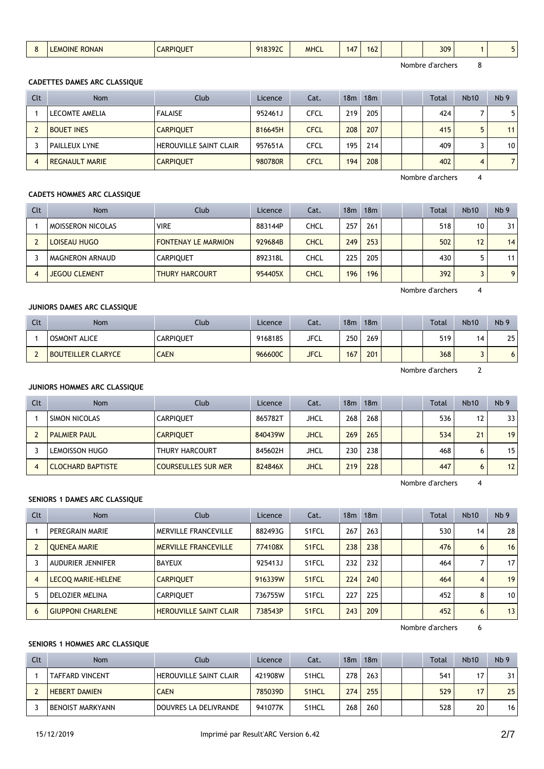| 309 |
|-----|
|-----|

#### **CADETTES DAMES ARC CLASSIQUE**

| Clt | Nom                   | Club                          | Licence | Cat.        | 18 <sub>m</sub> | 18m |  | <b>Total</b> | Nb10 | N <sub>b</sub> 9 |
|-----|-----------------------|-------------------------------|---------|-------------|-----------------|-----|--|--------------|------|------------------|
|     | LECOMTE AMELIA        | <b>FALAISE</b>                | 952461J | CFCL        | 219             | 205 |  | 424          |      | 5                |
|     | <b>BOUET INES</b>     | <b>CARPIOUET</b>              | 816645H | <b>CFCL</b> | 208             | 207 |  | 415          |      | 11 <sub>1</sub>  |
|     | <b>PAILLEUX LYNE</b>  | <b>HEROUVILLE SAINT CLAIR</b> | 957651A | CFCL        | 195             | 214 |  | 409          |      | 10 <sub>1</sub>  |
| 4   | <b>REGNAULT MARIE</b> | <b>CARPIQUET</b>              | 980780R | CFCL        | 194             | 208 |  | 402          | 4    | 7 I              |

Nombre d'archers 4

#### **CADETS HOMMES ARC CLASSIQUE**

| Clt | <b>Nom</b>               | Club                       | Licence | Cat.        | 18 <sub>m</sub> | 18 <sub>m</sub> |  | <b>Total</b> | Nb10 | Nb <sub>9</sub> |
|-----|--------------------------|----------------------------|---------|-------------|-----------------|-----------------|--|--------------|------|-----------------|
|     | <b>MOISSERON NICOLAS</b> | <b>VIRE</b>                | 883144P | CHCL        | 257             | 261             |  | 518          | 10   | 31              |
|     | LOISEAU HUGO             | <b>FONTENAY LE MARMION</b> | 929684B | <b>CHCL</b> | 249             | 253             |  | 502          | 12   | 14              |
|     | <b>MAGNERON ARNAUD</b>   | <b>CARPIOUET</b>           | 892318L | CHCL        | 225             | 205             |  | 430          |      | 11 <sup>1</sup> |
|     | <b>JEGOU CLEMENT</b>     | <b>THURY HARCOURT</b>      | 954405X | CHCL        | 196             | 196             |  | 392          |      | 9 <sup>1</sup>  |

Nombre d'archers 4

### **JUNIORS DAMES ARC CLASSIQUE**

| Clt | <b>Nom</b>                | Club             | Licence | Cat. | 18m | 18m |  | Total            | <b>Nb10</b> | Nb <sub>9</sub> |
|-----|---------------------------|------------------|---------|------|-----|-----|--|------------------|-------------|-----------------|
|     | <b>OSMONT ALICE</b>       | <b>CARPIQUET</b> | 916818S | JFCL | 250 | 269 |  | 519 <sub>1</sub> | 14          | 25              |
|     | <b>BOUTEILLER CLARYCE</b> | <b>CAEN</b>      | 966600C | JFCL | 167 | 201 |  | 368 <sub>1</sub> | J           | $\circ$         |

Nombre d'archers 2

#### **JUNIORS HOMMES ARC CLASSIQUE**

| Clt | <b>Nom</b>               | Club                       | Licence | Cat.        | 18m | 18m |  | <b>Total</b> | Nb10 | Nb <sub>9</sub> |
|-----|--------------------------|----------------------------|---------|-------------|-----|-----|--|--------------|------|-----------------|
|     | SIMON NICOLAS            | <b>CARPIQUET</b>           | 865782T | JHCL        | 268 | 268 |  | 536          | 12   | 33              |
|     | <b>PALMIER PAUL</b>      | <b>CARPIOUET</b>           | 840439W | JHCL        | 269 | 265 |  | 534          | 21   | 19              |
|     | LEMOISSON HUGO           | <b>THURY HARCOURT</b>      | 845602H | JHCL        | 230 | 238 |  | 468          |      | 15              |
|     | <b>CLOCHARD BAPTISTE</b> | <b>COURSEULLES SUR MER</b> | 824846X | <b>JHCL</b> | 219 | 228 |  | 447          | 6    | 12              |

Nombre d'archers 4

### **SENIORS 1 DAMES ARC CLASSIQUE**

| Clt | <b>Nom</b>               | Club                          | Licence | Cat.               | 18 <sub>m</sub> | 18m |  | <b>Total</b> | Nb10 | Nb <sub>9</sub> |
|-----|--------------------------|-------------------------------|---------|--------------------|-----------------|-----|--|--------------|------|-----------------|
|     | PEREGRAIN MARIE          | MERVILLE FRANCEVILLE          | 882493G | S <sub>1</sub> FCL | 267             | 263 |  | 530          | 14   | 28              |
|     | <b>OUENEA MARIE</b>      | <b>MERVILLE FRANCEVILLE</b>   | 774108X | S <sub>1</sub> FCL | 238             | 238 |  | 476          | 6    | 16              |
|     | <b>AUDURIER JENNIFER</b> | <b>BAYEUX</b>                 | 925413J | S <sub>1</sub> FCL | 232             | 232 |  | 464          |      | 17              |
| 4   | LECOQ MARIE-HELENE       | <b>CARPIOUET</b>              | 916339W | S <sub>1</sub> FCL | 224             | 240 |  | 464          | 4    | 19              |
|     | DELOZIER MELINA          | <b>CARPIOUET</b>              | 736755W | S <sub>1</sub> FCL | 227             | 225 |  | 452          | 8    | 10              |
| 6   | <b>GIUPPONI CHARLENE</b> | <b>HEROUVILLE SAINT CLAIR</b> | 738543P | S <sub>1</sub> FCL | 243             | 209 |  | 452          | 6    | 13              |

Nombre d'archers 6

### **SENIORS 1 HOMMES ARC CLASSIQUE**

| Clt | <b>Nom</b>             | Club                          | Licence | Cat.               | 18m | 18 <sub>m</sub> |  | <b>Total</b> | <b>Nb10</b> | Nb <sub>9</sub> |
|-----|------------------------|-------------------------------|---------|--------------------|-----|-----------------|--|--------------|-------------|-----------------|
|     | <b>TAFFARD VINCENT</b> | <b>HEROUVILLE SAINT CLAIR</b> | 421908W | S1HCL              | 278 | 263             |  | 541          | 17          | 31              |
|     | <b>HEBERT DAMIEN</b>   | <b>CAEN</b>                   | 785039D | S <sub>1</sub> HCL | 274 | 255             |  | 529          | 17          | 25              |
|     | BENOIST MARKYANN       | DOUVRES LA DELIVRANDE         | 941077K | S <sub>1</sub> HCL | 268 | 260             |  | 528          | 20          | 16 <sub>1</sub> |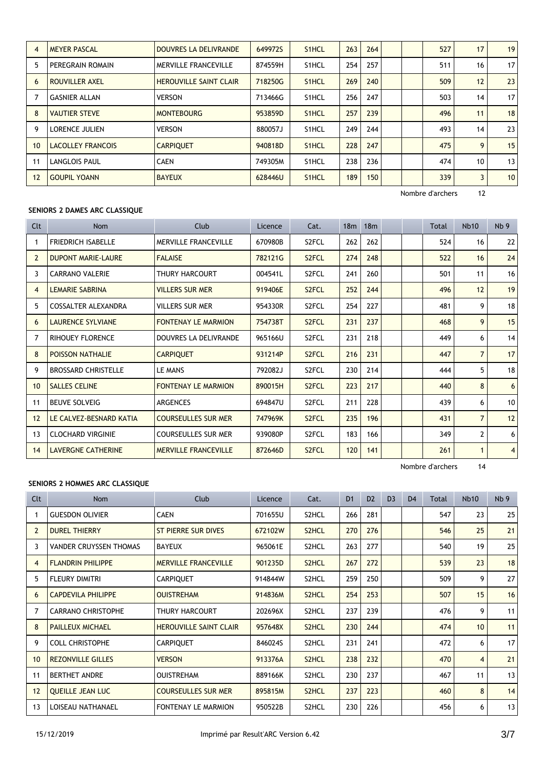| $\overline{4}$ | <b>MEYER PASCAL</b>      | DOUVRES LA DELIVRANDE         | 649972S | S1HCL | 263 | 264 |  | 527 | 17 | 19              |
|----------------|--------------------------|-------------------------------|---------|-------|-----|-----|--|-----|----|-----------------|
| 5              | PEREGRAIN ROMAIN         | MERVILLE FRANCEVILLE          | 874559H | S1HCL | 254 | 257 |  | 511 | 16 | 17 <sup>1</sup> |
| 6              | <b>ROUVILLER AXEL</b>    | <b>HEROUVILLE SAINT CLAIR</b> | 718250G | S1HCL | 269 | 240 |  | 509 | 12 | 23              |
| 7              | <b>GASNIER ALLAN</b>     | <b>VERSON</b>                 | 713466G | S1HCL | 256 | 247 |  | 503 | 14 | 17 <sup>1</sup> |
| 8              | <b>VAUTIER STEVE</b>     | <b>MONTEBOURG</b>             | 953859D | S1HCL | 257 | 239 |  | 496 | 11 | 18              |
| 9              | <b>LORENCE JULIEN</b>    | <b>VERSON</b>                 | 880057J | S1HCL | 249 | 244 |  | 493 | 14 | 23              |
| 10             | <b>LACOLLEY FRANCOIS</b> | <b>CARPIQUET</b>              | 940818D | S1HCL | 228 | 247 |  | 475 | 9  | 15              |
| 11             | <b>LANGLOIS PAUL</b>     | <b>CAEN</b>                   | 749305M | S1HCL | 238 | 236 |  | 474 | 10 | 13              |
| 12             | <b>GOUPIL YOANN</b>      | <b>BAYEUX</b>                 | 628446U | S1HCL | 189 | 150 |  | 339 | 3  | 10 <sup>°</sup> |

### **SENIORS 2 DAMES ARC CLASSIQUE**

| Clt            | <b>Nom</b>                 | Club                        | Licence | Cat.               | 18m | 18 <sub>m</sub> |  | Total | <b>Nb10</b>    | Nb <sub>9</sub> |
|----------------|----------------------------|-----------------------------|---------|--------------------|-----|-----------------|--|-------|----------------|-----------------|
|                | <b>FRIEDRICH ISABELLE</b>  | <b>MERVILLE FRANCEVILLE</b> | 670980B | S <sub>2</sub> FCL | 262 | 262             |  | 524   | 16             | 22              |
| $\overline{2}$ | <b>DUPONT MARIE-LAURE</b>  | <b>FALAISE</b>              | 782121G | S <sub>2</sub> FCL | 274 | 248             |  | 522   | 16             | 24              |
| 3              | <b>CARRANO VALERIE</b>     | THURY HARCOURT              | 004541L | S <sub>2</sub> FCL | 241 | 260             |  | 501   | 11             | 16              |
| 4              | <b>LEMARIE SABRINA</b>     | <b>VILLERS SUR MER</b>      | 919406E | S <sub>2</sub> FCL | 252 | 244             |  | 496   | 12             | 19              |
| 5              | COSSALTER ALEXANDRA        | <b>VILLERS SUR MER</b>      | 954330R | S <sub>2</sub> FCL | 254 | 227             |  | 481   | 9              | 18              |
| 6              | <b>LAURENCE SYLVIANE</b>   | <b>FONTENAY LE MARMION</b>  | 754738T | S <sub>2</sub> FCL | 231 | 237             |  | 468   | 9              | 15              |
| 7              | <b>RIHOUEY FLORENCE</b>    | DOUVRES LA DELIVRANDE       | 965166U | S <sub>2</sub> FCL | 231 | 218             |  | 449   | 6              | 14              |
| 8              | <b>POISSON NATHALIE</b>    | <b>CARPIQUET</b>            | 931214P | S <sub>2</sub> FCL | 216 | 231             |  | 447   | 7              | 17              |
| 9              | <b>BROSSARD CHRISTELLE</b> | LE MANS                     | 792082J | S2FCL              | 230 | 214             |  | 444   | 5              | 18              |
| 10             | <b>SALLES CELINE</b>       | <b>FONTENAY LE MARMION</b>  | 890015H | S <sub>2</sub> FCL | 223 | 217             |  | 440   | 8              | 6               |
| 11             | <b>BEUVE SOLVEIG</b>       | <b>ARGENCES</b>             | 694847U | S2FCL              | 211 | 228             |  | 439   | 6              | 10              |
| 12             | LE CALVEZ-BESNARD KATIA    | <b>COURSEULLES SUR MER</b>  | 747969K | S <sub>2</sub> FCL | 235 | 196             |  | 431   | $\overline{7}$ | 12              |
| 13             | <b>CLOCHARD VIRGINIE</b>   | <b>COURSEULLES SUR MER</b>  | 939080P | S <sub>2</sub> FCL | 183 | 166             |  | 349   | 2              | 6               |
| 14             | <b>LAVERGNE CATHERINE</b>  | <b>MERVILLE FRANCEVILLE</b> | 872646D | S <sub>2</sub> FCL | 120 | 141             |  | 261   |                | $\overline{4}$  |

Nombre d'archers 14

### **SENIORS 2 HOMMES ARC CLASSIQUE**

| Clt            | Nom                           | <b>Club</b>                   | Licence | Cat.               | D <sub>1</sub> | D <sub>2</sub> | D <sub>3</sub> | D <sub>4</sub> | Total | <b>Nb10</b> | Nb <sub>9</sub> |
|----------------|-------------------------------|-------------------------------|---------|--------------------|----------------|----------------|----------------|----------------|-------|-------------|-----------------|
|                | <b>GUESDON OLIVIER</b>        | <b>CAEN</b>                   | 701655U | S <sub>2</sub> HCL | 266            | 281            |                |                | 547   | 23          | 25              |
| $\overline{2}$ | <b>DUREL THIERRY</b>          | <b>ST PIERRE SUR DIVES</b>    | 672102W | S <sub>2</sub> HCL | 270            | 276            |                |                | 546   | 25          | 21              |
| 3              | <b>VANDER CRUYSSEN THOMAS</b> | <b>BAYEUX</b>                 | 965061E | S <sub>2</sub> HCL | 263            | 277            |                |                | 540   | 19          | 25              |
| 4              | <b>FLANDRIN PHILIPPE</b>      | <b>MERVILLE FRANCEVILLE</b>   | 901235D | S <sub>2</sub> HCL | 267            | 272            |                |                | 539   | 23          | 18              |
| 5              | <b>FLEURY DIMITRI</b>         | <b>CARPIQUET</b>              | 914844W | S2HCL              | 259            | 250            |                |                | 509   | 9           | 27              |
| 6              | <b>CAPDEVILA PHILIPPE</b>     | <b>OUISTREHAM</b>             | 914836M | S <sub>2</sub> HCL | 254            | 253            |                |                | 507   | 15          | 16              |
| 7              | <b>CARRANO CHRISTOPHE</b>     | THURY HARCOURT                | 202696X | S2HCL              | 237            | 239            |                |                | 476   | 9           | 11              |
| 8              | <b>PAILLEUX MICHAEL</b>       | <b>HEROUVILLE SAINT CLAIR</b> | 957648X | S2HCL              | 230            | 244            |                |                | 474   | 10          | 11              |
| 9              | <b>COLL CHRISTOPHE</b>        | <b>CARPIQUET</b>              | 846024S | S <sub>2</sub> HCL | 231            | 241            |                |                | 472   | 6           | 17              |
| 10             | <b>REZONVILLE GILLES</b>      | <b>VERSON</b>                 | 913376A | S <sub>2</sub> HCL | 238            | 232            |                |                | 470   | 4           | 21              |
| 11             | <b>BERTHET ANDRE</b>          | <b>OUISTREHAM</b>             | 889166K | S2HCL              | 230            | 237            |                |                | 467   | 11          | 13              |
| 12             | <b>QUEILLE JEAN LUC</b>       | <b>COURSEULLES SUR MER</b>    | 895815M | S <sub>2</sub> HCL | 237            | 223            |                |                | 460   | 8           | 14              |
| 13             | LOISEAU NATHANAEL             | <b>FONTENAY LE MARMION</b>    | 950522B | S <sub>2</sub> HCL | 230            | 226            |                |                | 456   | 6           | 13              |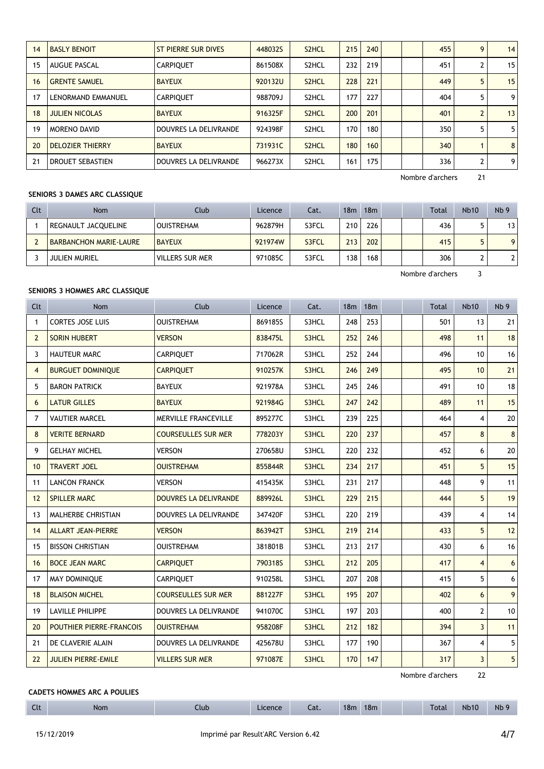| 14 | <b>BASLY BENOIT</b>     | ST PIERRE SUR DIVES   | 448032S | S <sub>2</sub> HCL | 215 | 240 |  | 455 | 9 | 14 <sub>1</sub> |
|----|-------------------------|-----------------------|---------|--------------------|-----|-----|--|-----|---|-----------------|
| 15 | AUGUE PASCAL            | <b>CARPIOUET</b>      | 861508X | S <sub>2</sub> HCL | 232 | 219 |  | 451 |   | 15              |
| 16 | <b>GRENTE SAMUEL</b>    | <b>BAYEUX</b>         | 920132U | S <sub>2</sub> HCL | 228 | 221 |  | 449 |   | 15              |
| 17 | LENORMAND EMMANUEL      | <b>CARPIQUET</b>      | 988709J | S <sub>2</sub> HCL | 177 | 227 |  | 404 | 5 | 9 <sub>1</sub>  |
| 18 | <b>JULIEN NICOLAS</b>   | <b>BAYEUX</b>         | 916325F | S <sub>2</sub> HCL | 200 | 201 |  | 401 |   | 13              |
| 19 | <b>MORENO DAVID</b>     | DOUVRES LA DELIVRANDE | 924398F | S <sub>2</sub> HCL | 170 | 180 |  | 350 |   | 5               |
| 20 | <b>DELOZIER THIERRY</b> | <b>BAYEUX</b>         | 731931C | S <sub>2</sub> HCL | 180 | 160 |  | 340 |   | 8               |
| 21 | DROUET SEBASTIEN        | DOUVRES LA DELIVRANDE | 966273X | S2HCL              | 161 | 175 |  | 336 |   | 9               |

### **SENIORS 3 DAMES ARC CLASSIQUE**

| Clt | <b>Nom</b>                    | Club                   | Licence | Cat.  | 18 <sub>m</sub> | 18m |  | <b>Total</b> | <b>Nb10</b> | N <sub>b</sub> 9 |
|-----|-------------------------------|------------------------|---------|-------|-----------------|-----|--|--------------|-------------|------------------|
|     | REGNAULT JACQUELINE           | <b>OUISTREHAM</b>      | 962879H | S3FCL | 210             | 226 |  | 436          |             | 13               |
|     | <b>BARBANCHON MARIE-LAURE</b> | <b>BAYEUX</b>          | 921974W | S3FCL | 213             | 202 |  | 415          |             | 9 <sub>1</sub>   |
|     | <b>JULIEN MURIEL</b>          | <b>VILLERS SUR MER</b> | 971085C | S3FCL | 138             | 168 |  | 306          |             | າ∣               |

Nombre d'archers 3

### **SENIORS 3 HOMMES ARC CLASSIQUE**

| Clt            | <b>Nom</b>                      | Club                         | Licence | Cat.  | 18m | 18 <sub>m</sub> |  | <b>Total</b> | <b>Nb10</b>    | Nb <sub>9</sub> |
|----------------|---------------------------------|------------------------------|---------|-------|-----|-----------------|--|--------------|----------------|-----------------|
| $\mathbf{1}$   | <b>CORTES JOSE LUIS</b>         | <b>OUISTREHAM</b>            | 869185S | S3HCL | 248 | 253             |  | 501          | 13             | 21              |
| $\overline{2}$ | <b>SORIN HUBERT</b>             | <b>VERSON</b>                | 838475L | S3HCL | 252 | 246             |  | 498          | 11             | 18              |
| 3              | <b>HAUTEUR MARC</b>             | CARPIQUET                    | 717062R | S3HCL | 252 | 244             |  | 496          | 10             | 16              |
| $\overline{4}$ | <b>BURGUET DOMINIQUE</b>        | <b>CARPIQUET</b>             | 910257K | S3HCL | 246 | 249             |  | 495          | 10             | 21              |
| 5              | <b>BARON PATRICK</b>            | <b>BAYEUX</b>                | 921978A | S3HCL | 245 | 246             |  | 491          | 10             | 18              |
| 6              | <b>LATUR GILLES</b>             | <b>BAYEUX</b>                | 921984G | S3HCL | 247 | 242             |  | 489          | 11             | 15              |
| 7              | <b>VAUTIER MARCEL</b>           | MERVILLE FRANCEVILLE         | 895277C | S3HCL | 239 | 225             |  | 464          | 4              | 20              |
| 8              | <b>VERITE BERNARD</b>           | <b>COURSEULLES SUR MER</b>   | 778203Y | S3HCL | 220 | 237             |  | 457          | 8              | 8               |
| 9              | <b>GELHAY MICHEL</b>            | <b>VERSON</b>                | 270658U | S3HCL | 220 | 232             |  | 452          | 6              | 20              |
| 10             | <b>TRAVERT JOEL</b>             | <b>OUISTREHAM</b>            | 855844R | S3HCL | 234 | 217             |  | 451          | 5              | 15              |
| 11             | <b>LANCON FRANCK</b>            | <b>VERSON</b>                | 415435K | S3HCL | 231 | 217             |  | 448          | 9              | 11              |
| 12             | <b>SPILLER MARC</b>             | <b>DOUVRES LA DELIVRANDE</b> | 889926L | S3HCL | 229 | 215             |  | 444          | 5              | 19              |
| 13             | MALHERBE CHRISTIAN              | DOUVRES LA DELIVRANDE        | 347420F | S3HCL | 220 | 219             |  | 439          | 4              | 14              |
| 14             | <b>ALLART JEAN-PIERRE</b>       | <b>VERSON</b>                | 863942T | S3HCL | 219 | 214             |  | 433          | 5              | 12              |
| 15             | <b>BISSON CHRISTIAN</b>         | <b>OUISTREHAM</b>            | 381801B | S3HCL | 213 | 217             |  | 430          | 6              | 16              |
| 16             | <b>BOCE JEAN MARC</b>           | <b>CARPIQUET</b>             | 790318S | S3HCL | 212 | 205             |  | 417          | $\overline{4}$ | 6               |
| 17             | MAY DOMINIQUE                   | <b>CARPIQUET</b>             | 910258L | S3HCL | 207 | 208             |  | 415          | 5              | 6               |
| 18             | <b>BLAISON MICHEL</b>           | <b>COURSEULLES SUR MER</b>   | 881227F | S3HCL | 195 | 207             |  | 402          | 6              | $\overline{9}$  |
| 19             | <b>LAVILLE PHILIPPE</b>         | DOUVRES LA DELIVRANDE        | 941070C | S3HCL | 197 | 203             |  | 400          | $\overline{2}$ | 10              |
| 20             | <b>POUTHIER PIERRE-FRANCOIS</b> | <b>OUISTREHAM</b>            | 958208F | S3HCL | 212 | 182             |  | 394          | $\overline{3}$ | 11              |
| 21             | DE CLAVERIE ALAIN               | DOUVRES LA DELIVRANDE        | 425678U | S3HCL | 177 | 190             |  | 367          | 4              | 5               |
| 22             | <b>JULIEN PIERRE-EMILE</b>      | <b>VILLERS SUR MER</b>       | 971087E | S3HCL | 170 | 147             |  | 317          | $\overline{3}$ | 5 <sup>1</sup>  |

Nombre d'archers 22

### **CADETS HOMMES ARC A POULIES**

| $\sim$<br><b>LIL</b> | Nom | Club | -icence | Cat. | 18m | 18m | <b>Total</b> | <b>Nb10</b> | <b>Nb</b> |
|----------------------|-----|------|---------|------|-----|-----|--------------|-------------|-----------|
|                      |     |      |         |      |     |     |              |             |           |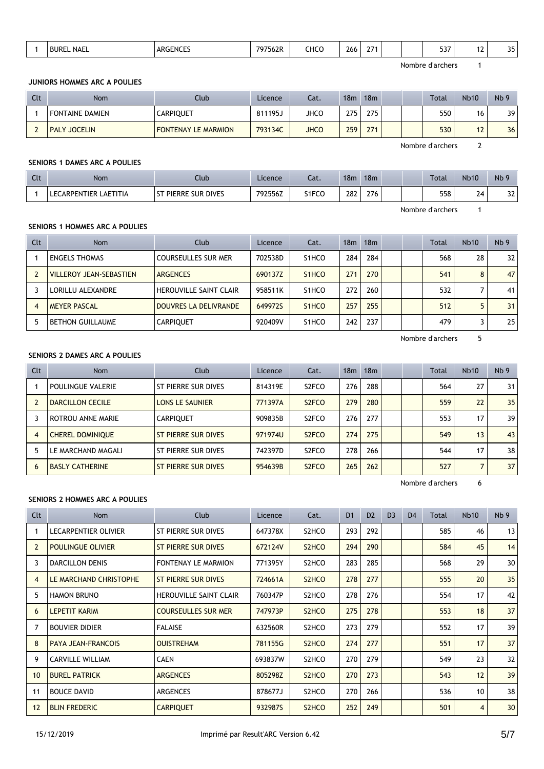| $- - -$<br>CHCO<br>D.E<br>$\sim$ $-$<br>7562R<br><b>NAEL</b><br><b>ARGENCES</b><br>7075<br><b>BURE</b><br>$\cdot$<br>-<br>, u<br>zoo<br>. د د<br>--<br>- 1 |
|------------------------------------------------------------------------------------------------------------------------------------------------------------|
|------------------------------------------------------------------------------------------------------------------------------------------------------------|

#### **JUNIORS HOMMES ARC A POULIES**

| Clt | Nom                    | Club                       | Licence | Cat.        | 18m | 18m |  | <b>Total</b> | <b>Nb10</b> | N <sub>b</sub> 9 |
|-----|------------------------|----------------------------|---------|-------------|-----|-----|--|--------------|-------------|------------------|
|     | <b>FONTAINE DAMIEN</b> | <b>CARPIQUET</b>           | 811195J | <b>JHCO</b> | 275 | 275 |  | 550          | 16          | 39               |
|     | <b>PALY JOCELIN</b>    | <b>FONTENAY LE MARMION</b> | 793134C | <b>JHCO</b> | 259 | 271 |  | 530          | 12          | 36               |

Nombre d'archers 2

#### **SENIORS 1 DAMES ARC A POULIES**

| $C1+$<br><b>CU.</b> | <b>Nom</b>               | Club                        | Licence | Cat.  | 18m | 18 <sub>m</sub> |  | Total | <b>Nb10</b>  | Nb <sub>9</sub> |
|---------------------|--------------------------|-----------------------------|---------|-------|-----|-----------------|--|-------|--------------|-----------------|
|                     | LAETITIA<br>LECARPENTIER | PIERRE SUR DIVES<br>$^{c+}$ | 792556Z | S1FCO | 282 | 276             |  | 558   | $\sim$<br>Z4 | $\sim$<br>ےر    |

Nombre d'archers 1

## **SENIORS 1 HOMMES ARC A POULIES**

| Clt | <b>Nom</b>                     | Club                          | Licence | Cat.               | 18 <sub>m</sub> | 18 <sub>m</sub> |  | Total | <b>Nb10</b> | Nb <sub>9</sub> |
|-----|--------------------------------|-------------------------------|---------|--------------------|-----------------|-----------------|--|-------|-------------|-----------------|
|     | <b>ENGELS THOMAS</b>           | <b>COURSEULLES SUR MER</b>    | 702538D | S1HCO              | 284             | 284             |  | 568   | 28          | 32              |
|     | <b>VILLEROY JEAN-SEBASTIEN</b> | <b>ARGENCES</b>               | 690137Z | S <sub>1</sub> HCO | 271             | 270             |  | 541   | 8           | 47              |
|     | LORILLU ALEXANDRE              | <b>HEROUVILLE SAINT CLAIR</b> | 958511K | S1HCO              | 272             | 260             |  | 532   |             | 41              |
|     | <b>MEYER PASCAL</b>            | DOUVRES LA DELIVRANDE         | 649972S | S <sub>1</sub> HCO | 257             | 255             |  | 512   |             | 31              |
|     | <b>BETHON GUILLAUME</b>        | <b>CARPIQUET</b>              | 920409V | S1HCO              | 242             | 237             |  | 479   |             | 25              |

Nombre d'archers 5

## **SENIORS 2 DAMES ARC A POULIES**

| Clt            | <b>Nom</b>              | Club                   | Licence | Cat.               | 18 <sub>m</sub> | 18 <sub>m</sub> |  | Total | <b>Nb10</b> | Nb <sub>9</sub> |
|----------------|-------------------------|------------------------|---------|--------------------|-----------------|-----------------|--|-------|-------------|-----------------|
|                | POULINGUE VALERIE       | ST PIERRE SUR DIVES    | 814319E | S <sub>2</sub> FCO | 276             | 288             |  | 564   | 27          | 31              |
|                | DARCILLON CECILE        | <b>LONS LE SAUNIER</b> | 771397A | S <sub>2</sub> FCO | 279             | 280             |  | 559   | 22          | 35              |
|                | ROTROU ANNE MARIE       | <b>CARPIQUET</b>       | 909835B | S <sub>2</sub> FCO | 276             | 277             |  | 553   | 17          | 39              |
| $\overline{4}$ | <b>CHEREL DOMINIQUE</b> | ST PIERRE SUR DIVES    | 971974U | S <sub>2</sub> FCO | 274             | 275             |  | 549   | 13          | 43              |
|                | LE MARCHAND MAGALI      | ST PIERRE SUR DIVES    | 742397D | S <sub>2</sub> FCO | 278             | 266             |  | 544   | 17          | 38              |
| 6              | <b>BASLY CATHERINE</b>  | ST PIERRE SUR DIVES    | 954639B | S <sub>2</sub> FCO | 265             | 262             |  | 527   |             | 37              |

Nombre d'archers 6

### **SENIORS 2 HOMMES ARC A POULIES**

| Clt            | Nom                       | Club                          | Licence | Cat.                           | D <sub>1</sub> | D <sub>2</sub> | D <sub>3</sub> | D <sub>4</sub> | Total | Nb <sub>10</sub> | Nb <sub>9</sub> |
|----------------|---------------------------|-------------------------------|---------|--------------------------------|----------------|----------------|----------------|----------------|-------|------------------|-----------------|
|                | LECARPENTIER OLIVIER      | ST PIERRE SUR DIVES           | 647378X | S <sub>2</sub> HCO             | 293            | 292            |                |                | 585   | 46               | 13              |
| $\overline{2}$ | <b>POULINGUE OLIVIER</b>  | ST PIERRE SUR DIVES           | 672124V | S <sub>2</sub> HC <sub>O</sub> | 294            | 290            |                |                | 584   | 45               | 14              |
| 3              | <b>DARCILLON DENIS</b>    | <b>FONTENAY LE MARMION</b>    | 771395Y | S2HCO                          | 283            | 285            |                |                | 568   | 29               | 30              |
| $\overline{4}$ | LE MARCHAND CHRISTOPHE    | ST PIERRE SUR DIVES           | 724661A | S <sub>2</sub> HC <sub>O</sub> | 278            | 277            |                |                | 555   | 20               | 35              |
| 5              | <b>HAMON BRUNO</b>        | <b>HEROUVILLE SAINT CLAIR</b> | 760347P | S <sub>2</sub> HC <sub>O</sub> | 278            | 276            |                |                | 554   | 17               | 42              |
| 6              | <b>LEPETIT KARIM</b>      | <b>COURSEULLES SUR MER</b>    | 747973P | S <sub>2</sub> HC <sub>O</sub> | 275            | 278            |                |                | 553   | 18               | 37              |
| 7              | <b>BOUVIER DIDIER</b>     | <b>FALAISE</b>                | 632560R | S <sub>2</sub> HC <sub>O</sub> | 273            | 279            |                |                | 552   | 17               | 39              |
| 8              | <b>PAYA JEAN-FRANCOIS</b> | <b>OUISTREHAM</b>             | 781155G | S <sub>2</sub> HCO             | 274            | 277            |                |                | 551   | 17               | 37              |
| 9              | <b>CARVILLE WILLIAM</b>   | <b>CAEN</b>                   | 693837W | S2HCO                          | 270            | 279            |                |                | 549   | 23               | 32              |
| 10             | <b>BUREL PATRICK</b>      | <b>ARGENCES</b>               | 805298Z | S <sub>2</sub> HC <sub>O</sub> | 270            | 273            |                |                | 543   | 12               | 39              |
| 11             | <b>BOUCE DAVID</b>        | <b>ARGENCES</b>               | 878677J | S <sub>2</sub> HC <sub>O</sub> | 270            | 266            |                |                | 536   | 10               | 38              |
| 12             | <b>BLIN FREDERIC</b>      | <b>CARPIQUET</b>              | 932987S | S <sub>2</sub> HC <sub>O</sub> | 252            | 249            |                |                | 501   | $\overline{4}$   | 30              |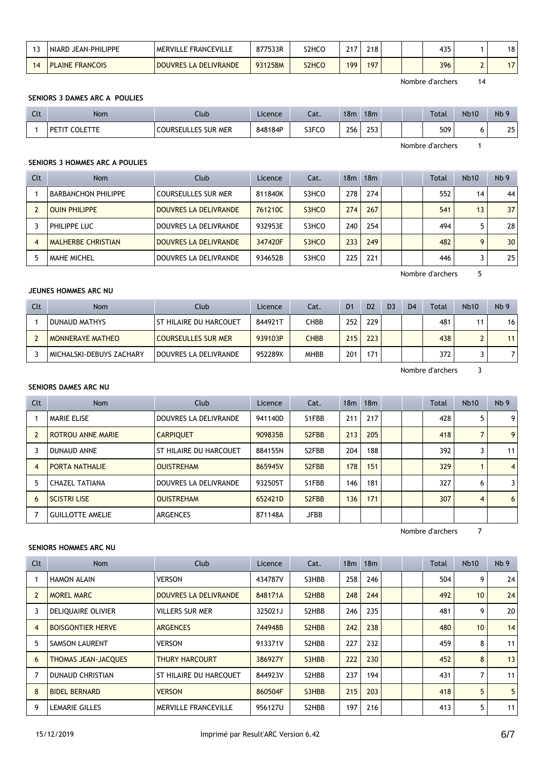| NIARD JEAN-PHILIPPE    | MERVILLE FRANCEVILLE            | 877533R | S2HCO                          | 247 | 240<br>۷۱۵ |  | 435 | 18 |
|------------------------|---------------------------------|---------|--------------------------------|-----|------------|--|-----|----|
| <b>PLAINE FRANCOIS</b> | LA DELIVRANDE<br><b>DOUVRES</b> | 931258M | S <sub>2</sub> HC <sub>O</sub> | 199 | 197        |  | 396 |    |

#### **SENIORS 3 DAMES ARC A POULIES**

| $C1+$<br><b>CU.</b> | Nom                            | Jlub                       | Licence | $-1$<br>cal. | 18 <sub>m</sub> | 18 <sub>m</sub> |  | Total | <b>Nb10</b> | Nb <sub>5</sub> |
|---------------------|--------------------------------|----------------------------|---------|--------------|-----------------|-----------------|--|-------|-------------|-----------------|
|                     | $\sim$<br><b>ETTE</b><br>. DET | <b>COURSEULLES SUR MER</b> | 848184P | S3FCO        | 256             | ר בר<br>در∡     |  | 509   |             | つら<br>ر ے       |

Nombre d'archers 1

#### **SENIORS 3 HOMMES ARC A POULIES**

| Clt | <b>Nom</b>                 | Club                       | Licence | Cat.  | 18m | 18 <sub>m</sub> |  | <b>Total</b> | Nb10 | Nb <sub>9</sub> |
|-----|----------------------------|----------------------------|---------|-------|-----|-----------------|--|--------------|------|-----------------|
|     | <b>BARBANCHON PHILIPPE</b> | <b>COURSEULLES SUR MER</b> | 811840K | S3HCO | 278 | 274             |  | 552          | 14   | 44              |
|     | <b>OUIN PHILIPPE</b>       | DOUVRES LA DELIVRANDE      | 761210C | S3HCO | 274 | 267             |  | 541          | 13   | 37              |
|     | PHILIPPE LUC               | DOUVRES LA DELIVRANDE      | 932953E | S3HCO | 240 | 254             |  | 494          |      | 28              |
|     | <b>MALHERBE CHRISTIAN</b>  | DOUVRES LA DELIVRANDE      | 347420F | S3HCO | 233 | 249             |  | 482          |      | 30              |
|     | <b>MAHE MICHEL</b>         | DOUVRES LA DELIVRANDE      | 934652B | S3HCO | 225 | 221             |  | 446          |      | 25              |

Nombre d'archers 5

### **JEUNES HOMMES ARC NU**

| Clt | Nom                      | Club                       | Licence | Cat.        | D <sub>1</sub> | D <sub>2</sub> | D <sub>3</sub> | D <sub>4</sub> | Total | <b>Nb10</b> | Nb <sub>9</sub> |
|-----|--------------------------|----------------------------|---------|-------------|----------------|----------------|----------------|----------------|-------|-------------|-----------------|
|     | DUNAUD MATHYS            | ST HILAIRE DU HARCOUET     | 844921T | СНВВ        | 252            | 229            |                |                | 481   |             | 16              |
|     | <b>MONNERAYE MATHEO</b>  | <b>COURSEULLES SUR MER</b> | 939103P | <b>CHBB</b> | 215            | 223            |                |                | 438   |             |                 |
|     | MICHALSKI-DEBUYS ZACHARY | DOUVRES LA DELIVRANDE      | 952289X | <b>MHBB</b> | 201            | 171            |                |                | 372   |             |                 |

Nombre d'archers 3

### **SENIORS DAMES ARC NU**

| Clt            | Nom                      | Club                   | Licence | Cat.               | 18 <sub>m</sub> | 18 <sub>m</sub> |  | <b>Total</b> | Nb10 | Nb <sub>9</sub> |
|----------------|--------------------------|------------------------|---------|--------------------|-----------------|-----------------|--|--------------|------|-----------------|
|                | <b>MARIE ELISE</b>       | DOUVRES LA DELIVRANDE  | 941140D | S1FBB              | 211             | 217             |  | 428          |      | 9               |
|                | <b>ROTROU ANNE MARIE</b> | <b>CARPIOUET</b>       | 909835B | S <sub>2</sub> FBB | 213             | 205             |  | 418          |      | 9               |
|                | <b>DUNAUD ANNE</b>       | ST HILAIRE DU HARCOUET | 884155N | S <sub>2</sub> FBB | 204             | 188             |  | 392          |      | 11              |
| $\overline{4}$ | <b>PORTA NATHALIE</b>    | <b>OUISTREHAM</b>      | 865945V | S <sub>2</sub> FBB | 178             | 151             |  | 329          |      | $\overline{4}$  |
| 5              | <b>CHAZEL TATIANA</b>    | DOUVRES LA DELIVRANDE  | 932505T | S1FBB              | 146             | 181             |  | 327          | 6    | 3               |
| 6              | <b>SCISTRI LISE</b>      | <b>OUISTREHAM</b>      | 652421D | S <sub>2</sub> FBB | 136             | 171             |  | 307          | 4    | 6               |
|                | <b>GUILLOTTE AMELIE</b>  | ARGENCES               | 871148A | <b>JFBB</b>        |                 |                 |  |              |      |                 |

Nombre d'archers 7

### **SENIORS HOMMES ARC NU**

| Clt            | Nom                        | Club                         | Licence | Cat.                            | 18 <sub>m</sub> | 18 <sub>m</sub> |  | Total | <b>Nb10</b>     | Nb <sub>9</sub> |
|----------------|----------------------------|------------------------------|---------|---------------------------------|-----------------|-----------------|--|-------|-----------------|-----------------|
|                | <b>HAMON ALAIN</b>         | <b>VERSON</b>                | 434787V | S3HBB                           | 258             | 246             |  | 504   | 9               | 24              |
| $\overline{2}$ | <b>MOREL MARC</b>          | <b>DOUVRES LA DELIVRANDE</b> | 848171A | S <sub>2</sub> H <sub>B</sub> B | 248             | 244             |  | 492   | 10 <sup>1</sup> | 24              |
| 3              | DELIQUAIRE OLIVIER         | <b>VILLERS SUR MER</b>       | 325021J | S2HBB                           | 246             | 235             |  | 481   | 9               | 20              |
| $\overline{4}$ | <b>BOISGONTIER HERVE</b>   | <b>ARGENCES</b>              | 744948B | S <sub>2</sub> H <sub>B</sub> B | 242             | 238             |  | 480   | 10              | 14              |
| 5              | <b>SAMSON LAURENT</b>      | <b>VERSON</b>                | 913371V | S2HBB                           | 227             | 232             |  | 459   | 8               | 11              |
| 6              | <b>THOMAS JEAN-JACQUES</b> | <b>THURY HARCOURT</b>        | 386927Y | S3HBB                           | 222             | 230             |  | 452   | 8               | 13              |
|                | <b>DUNAUD CHRISTIAN</b>    | ST HILAIRE DU HARCOUET       | 844923V | S2HBB                           | 237             | 194             |  | 431   | 7               | 11              |
| 8              | <b>BIDEL BERNARD</b>       | <b>VERSON</b>                | 860504F | S3HBB                           | 215             | 203             |  | 418   | 5               | 5               |
| 9              | <b>LEMARIE GILLES</b>      | <b>MERVILLE FRANCEVILLE</b>  | 956127U | S2HBB                           | 197             | 216             |  | 413   | 5               | 11              |